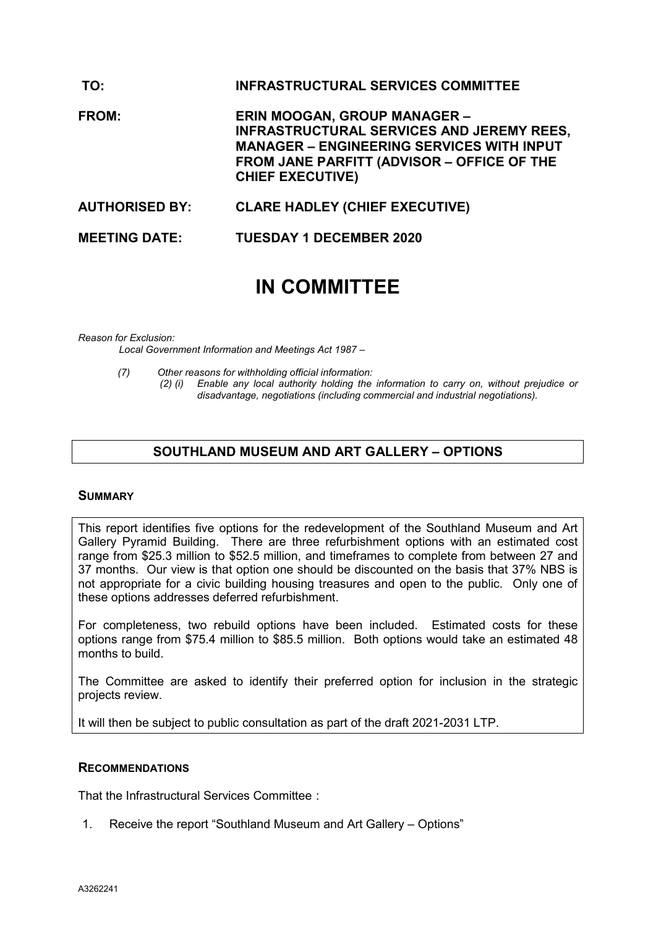| TO:                   | <b>INFRASTRUCTURAL SERVICES COMMITTEE</b>                                                                                                                                                                     |
|-----------------------|---------------------------------------------------------------------------------------------------------------------------------------------------------------------------------------------------------------|
| <b>FROM:</b>          | <b>ERIN MOOGAN, GROUP MANAGER -</b><br>INFRASTRUCTURAL SERVICES AND JEREMY REES,<br><b>MANAGER - ENGINEERING SERVICES WITH INPUT</b><br>FROM JANE PARFITT (ADVISOR - OFFICE OF THE<br><b>CHIEF EXECUTIVE)</b> |
| <b>AUTHORISED BY:</b> | <b>CLARE HADLEY (CHIEF EXECUTIVE)</b>                                                                                                                                                                         |
| <b>MEETING DATE:</b>  | <b>TUESDAY 1 DECEMBER 2020</b>                                                                                                                                                                                |

# **IN COMMITTEE**

#### *Reason for Exclusion:*

*Local Government Information and Meetings Act 1987 –*

- 
- *(7) Other reasons for withholding official information: (2) (i) Enable any local authority holding the information to carry on, without prejudice or disadvantage, negotiations (including commercial and industrial negotiations).*

## **SOUTHLAND MUSEUM AND ART GALLERY – OPTIONS**

#### **SUMMARY**

This report identifies five options for the redevelopment of the Southland Museum and Art Gallery Pyramid Building. There are three refurbishment options with an estimated cost range from \$25.3 million to \$52.5 million, and timeframes to complete from between 27 and 37 months. Our view is that option one should be discounted on the basis that 37% NBS is not appropriate for a civic building housing treasures and open to the public. Only one of these options addresses deferred refurbishment.

For completeness, two rebuild options have been included. Estimated costs for these options range from \$75.4 million to \$85.5 million. Both options would take an estimated 48 months to build.

The Committee are asked to identify their preferred option for inclusion in the strategic projects review.

It will then be subject to public consultation as part of the draft 2021-2031 LTP.

#### **RECOMMENDATIONS**

That the Infrastructural Services Committee :

1. Receive the report "Southland Museum and Art Gallery – Options"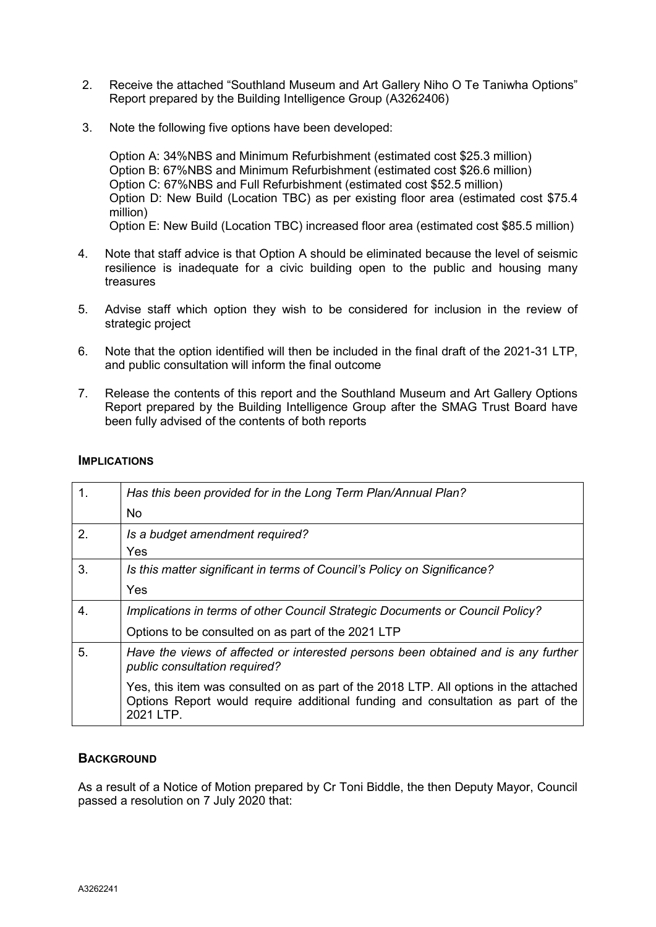- 2. Receive the attached "Southland Museum and Art Gallery Niho O Te Taniwha Options" Report prepared by the Building Intelligence Group (A3262406)
- 3. Note the following five options have been developed:

Option A: 34%NBS and Minimum Refurbishment (estimated cost \$25.3 million) Option B: 67%NBS and Minimum Refurbishment (estimated cost \$26.6 million) Option C: 67%NBS and Full Refurbishment (estimated cost \$52.5 million) Option D: New Build (Location TBC) as per existing floor area (estimated cost \$75.4 million) Option E: New Build (Location TBC) increased floor area (estimated cost \$85.5 million)

- 4. Note that staff advice is that Option A should be eliminated because the level of seismic resilience is inadequate for a civic building open to the public and housing many treasures
- 5. Advise staff which option they wish to be considered for inclusion in the review of strategic project
- 6. Note that the option identified will then be included in the final draft of the 2021-31 LTP, and public consultation will inform the final outcome
- 7. Release the contents of this report and the Southland Museum and Art Gallery Options Report prepared by the Building Intelligence Group after the SMAG Trust Board have been fully advised of the contents of both reports

#### **IMPLICATIONS**

| 1. | Has this been provided for in the Long Term Plan/Annual Plan?                                                                                                                        |
|----|--------------------------------------------------------------------------------------------------------------------------------------------------------------------------------------|
|    | No.                                                                                                                                                                                  |
| 2. | Is a budget amendment required?                                                                                                                                                      |
|    | Yes                                                                                                                                                                                  |
| 3. | Is this matter significant in terms of Council's Policy on Significance?                                                                                                             |
|    | Yes                                                                                                                                                                                  |
| 4. | Implications in terms of other Council Strategic Documents or Council Policy?                                                                                                        |
|    | Options to be consulted on as part of the 2021 LTP                                                                                                                                   |
| 5. | Have the views of affected or interested persons been obtained and is any further<br>public consultation required?                                                                   |
|    | Yes, this item was consulted on as part of the 2018 LTP. All options in the attached<br>Options Report would require additional funding and consultation as part of the<br>2021 LTP. |

## **BACKGROUND**

As a result of a Notice of Motion prepared by Cr Toni Biddle, the then Deputy Mayor, Council passed a resolution on 7 July 2020 that: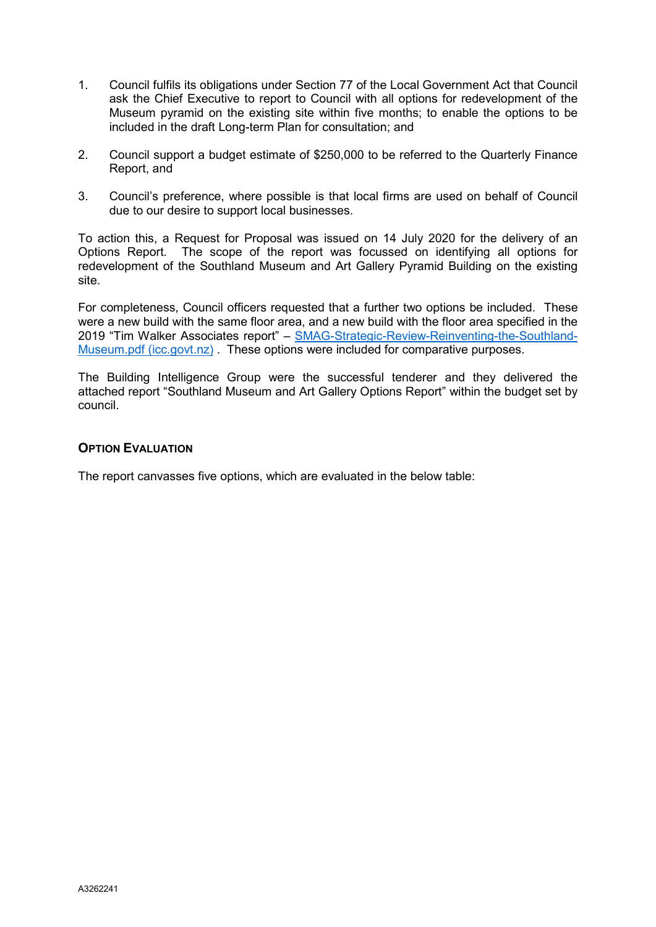- 1. Council fulfils its obligations under Section 77 of the Local Government Act that Council ask the Chief Executive to report to Council with all options for redevelopment of the Museum pyramid on the existing site within five months; to enable the options to be included in the draft Long-term Plan for consultation; and
- 2. Council support a budget estimate of \$250,000 to be referred to the Quarterly Finance Report, and
- 3. Council's preference, where possible is that local firms are used on behalf of Council due to our desire to support local businesses.

To action this, a Request for Proposal was issued on 14 July 2020 for the delivery of an Options Report. The scope of the report was focussed on identifying all options for redevelopment of the Southland Museum and Art Gallery Pyramid Building on the existing site.

For completeness, Council officers requested that a further two options be included. These were a new build with the same floor area, and a new build with the floor area specified in the 2019 "Tim Walker Associates report" – [SMAG-Strategic-Review-Reinventing-the-Southland-](https://icc.govt.nz/wp-content/uploads/2020/04/SMAG-Strategic-Review-Reinventing-the-Southland-Museum.pdf)[Museum.pdf \(icc.govt.nz\)](https://icc.govt.nz/wp-content/uploads/2020/04/SMAG-Strategic-Review-Reinventing-the-Southland-Museum.pdf) . These options were included for comparative purposes.

The Building Intelligence Group were the successful tenderer and they delivered the attached report "Southland Museum and Art Gallery Options Report" within the budget set by council.

## **OPTION EVALUATION**

The report canvasses five options, which are evaluated in the below table: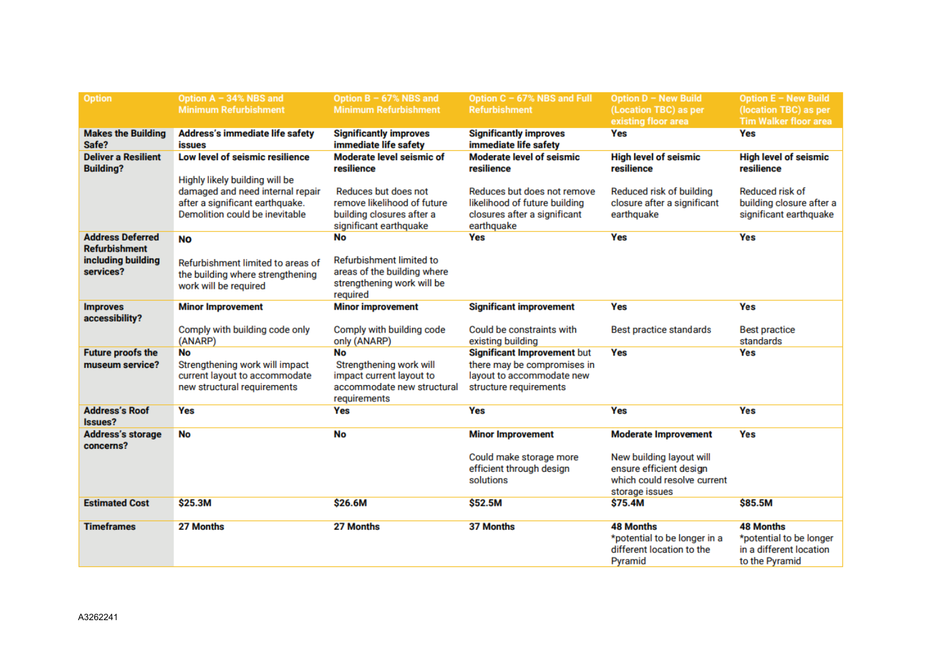| <b>Option</b>                                   | Option A - 34% NBS and<br><b>Minimum Refurbishment</b>                                                | Option B - 67% NBS and<br><b>Minimum Refurbishment</b>                                                         | Option C - 67% NBS and Full<br><b>Refurbishment</b>                                                               | Option D - New Build<br>(Location TBC) as per<br>existing floor area                                                                | <b>Option E - New Build</b><br>(location TBC) as per<br><b>Tim Walker floor area</b>     |
|-------------------------------------------------|-------------------------------------------------------------------------------------------------------|----------------------------------------------------------------------------------------------------------------|-------------------------------------------------------------------------------------------------------------------|-------------------------------------------------------------------------------------------------------------------------------------|------------------------------------------------------------------------------------------|
| <b>Makes the Building</b><br>Safe?              | Address's immediate life safety<br><b>issues</b>                                                      | <b>Significantly improves</b><br>immediate life safety                                                         | <b>Significantly improves</b><br>immediate life safety                                                            | Yes                                                                                                                                 | Yes                                                                                      |
| <b>Deliver a Resilient</b><br><b>Building?</b>  | Low level of seismic resilience<br>Highly likely building will be                                     | Moderate level seismic of<br>resilience                                                                        | <b>Moderate level of seismic</b><br>resilience                                                                    | <b>High level of seismic</b><br>resilience                                                                                          | <b>High level of seismic</b><br>resilience                                               |
|                                                 | damaged and need internal repair<br>after a significant earthquake.<br>Demolition could be inevitable | Reduces but does not<br>remove likelihood of future<br>building closures after a<br>significant earthquake     | Reduces but does not remove<br>likelihood of future building<br>closures after a significant<br>earthquake        | Reduced risk of building<br>closure after a significant<br>earthquake                                                               | Reduced risk of<br>building closure after a<br>significant earthquake                    |
| <b>Address Deferred</b><br><b>Refurbishment</b> | <b>No</b>                                                                                             | <b>No</b>                                                                                                      | <b>Yes</b>                                                                                                        | Yes                                                                                                                                 | <b>Yes</b>                                                                               |
| including building<br>services?                 | Refurbishment limited to areas of<br>the building where strengthening<br>work will be required        | Refurbishment limited to<br>areas of the building where<br>strengthening work will be<br>required              |                                                                                                                   |                                                                                                                                     |                                                                                          |
| <b>Improves</b><br>accessibility?               | <b>Minor Improvement</b>                                                                              | <b>Minor improvement</b>                                                                                       | <b>Significant improvement</b>                                                                                    | Yes                                                                                                                                 | <b>Yes</b>                                                                               |
|                                                 | Comply with building code only<br>(ANARP)                                                             | Comply with building code<br>only (ANARP)                                                                      | Could be constraints with<br>existing building                                                                    | Best practice standards                                                                                                             | <b>Best practice</b><br>standards                                                        |
| <b>Future proofs the</b><br>museum service?     | No<br>Strengthening work will impact<br>current layout to accommodate<br>new structural requirements  | <b>No</b><br>Strengthening work will<br>impact current layout to<br>accommodate new structural<br>requirements | Significant Improvement but<br>there may be compromises in<br>layout to accommodate new<br>structure requirements | Yes                                                                                                                                 | <b>Yes</b>                                                                               |
| <b>Address's Roof</b><br><b>Issues?</b>         | Yes                                                                                                   | Yes                                                                                                            | Yes                                                                                                               | <b>Yes</b>                                                                                                                          | <b>Yes</b>                                                                               |
| <b>Address's storage</b><br>concerns?           | No                                                                                                    | <b>No</b>                                                                                                      | <b>Minor Improvement</b><br>Could make storage more<br>efficient through design<br>solutions                      | <b>Moderate Improvement</b><br>New building layout will<br>ensure efficient design<br>which could resolve current<br>storage issues | Yes                                                                                      |
| <b>Estimated Cost</b>                           | \$25.3M                                                                                               | \$26.6M                                                                                                        | \$52.5M                                                                                                           | \$75.4M                                                                                                                             | \$85.5M                                                                                  |
| <b>Timeframes</b>                               | 27 Months                                                                                             | 27 Months                                                                                                      | 37 Months                                                                                                         | <b>48 Months</b><br>*potential to be longer in a<br>different location to the<br>Pyramid                                            | <b>48 Months</b><br>*potential to be longer<br>in a different location<br>to the Pyramid |